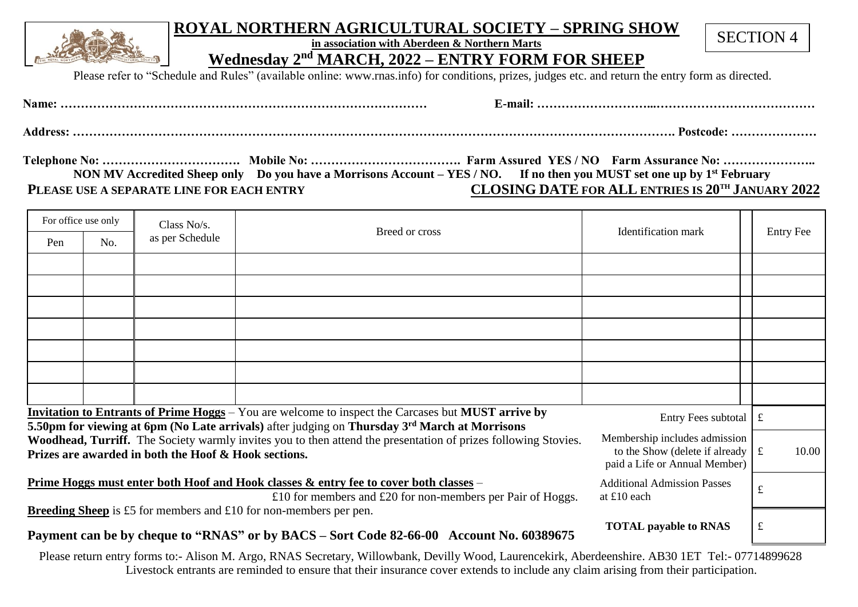## **ROYAL NORTHERN AGRICULTURAL SOCIETY – SPRING SHOW**

**in association with Aberdeen & Northern Marts** 

SECTION 4

**Wednesday 2 nd MARCH, 2022 – ENTRY FORM FOR SHEEP**

Please refer to "Schedule and Rules" (available online: www.rnas.info) for conditions, prizes, judges etc. and return the entry form as directed.

| Namer : | -mail |
|---------|-------|
|---------|-------|

**Address: …………………………………………………………………………………………………………………………………. Postcode: …………………** 

**Telephone No: ……………………………. Mobile No: ………………………………. Farm Assured YES / NO Farm Assurance No: ………………….. NON MV Accredited Sheep only Do you have a Morrisons Account – YES / NO. If no then you MUST set one up by 1st February PLEASE USE A SEPARATE LINE FOR EACH ENTRY****CLOSING DATE FOR ALL ENTRIES IS 20 TH JANUARY 2022**

| For office use only                                                                                                                                                                                                                                                                                                                                                                                    |     | Class No/s.     |                | <b>Identification</b> mark |                  |
|--------------------------------------------------------------------------------------------------------------------------------------------------------------------------------------------------------------------------------------------------------------------------------------------------------------------------------------------------------------------------------------------------------|-----|-----------------|----------------|----------------------------|------------------|
| Pen                                                                                                                                                                                                                                                                                                                                                                                                    | No. | as per Schedule | Breed or cross |                            | <b>Entry Fee</b> |
|                                                                                                                                                                                                                                                                                                                                                                                                        |     |                 |                |                            |                  |
|                                                                                                                                                                                                                                                                                                                                                                                                        |     |                 |                |                            |                  |
|                                                                                                                                                                                                                                                                                                                                                                                                        |     |                 |                |                            |                  |
|                                                                                                                                                                                                                                                                                                                                                                                                        |     |                 |                |                            |                  |
|                                                                                                                                                                                                                                                                                                                                                                                                        |     |                 |                |                            |                  |
|                                                                                                                                                                                                                                                                                                                                                                                                        |     |                 |                |                            |                  |
|                                                                                                                                                                                                                                                                                                                                                                                                        |     |                 |                |                            |                  |
| Invitation to Entrants of Prime Hoggs – You are welcome to inspect the Carcases but MUST arrive by<br>Entry Fees subtotal $\mathbf{f}$                                                                                                                                                                                                                                                                 |     |                 |                |                            |                  |
| 5.50pm for viewing at 6pm (No Late arrivals) after judging on Thursday 3 <sup>rd</sup> March at Morrisons<br>Membership includes admission<br>Woodhead, Turriff. The Society warmly invites you to then attend the presentation of prizes following Stovies.<br>to the Show (delete if already $\mathbf{f}$ £<br>Prizes are awarded in both the Hoof & Hook sections.<br>paid a Life or Annual Member) |     |                 | 10.00          |                            |                  |
| <u>Prime Hoggs must enter both Hoof and Hook classes &amp; entry fee to cover both classes</u> –<br><b>Additional Admission Passes</b><br>£10 for members and £20 for non-members per Pair of Hoggs.<br>at £10 each                                                                                                                                                                                    |     |                 | £              |                            |                  |
| <b>Breeding Sheep</b> is £5 for members and £10 for non-members per pen.<br><b>TOTAL payable to RNAS</b><br>Payment can be by cheque to "RNAS" or by BACS – Sort Code 82-66-00 Account No. 60389675                                                                                                                                                                                                    |     |                 |                | £                          |                  |

 Please return entry forms to:- Alison M. Argo, RNAS Secretary, Willowbank, Devilly Wood, Laurencekirk, Aberdeenshire. AB30 1ET [Tel:-](tel:-) 07714899628 Livestock entrants are reminded to ensure that their insurance cover extends to include any claim arising from their participation.